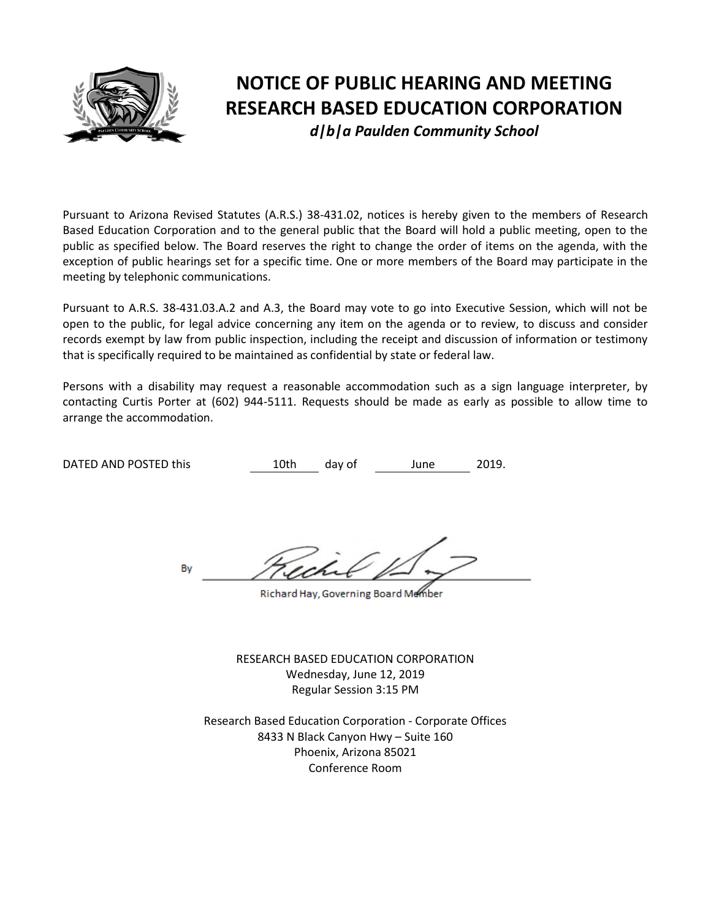

# **NOTICE OF PUBLIC HEARING AND MEETING RESEARCH BASED EDUCATION CORPORATION** *d|b|a Paulden Community School*

Pursuant to Arizona Revised Statutes (A.R.S.) 38-431.02, notices is hereby given to the members of Research Based Education Corporation and to the general public that the Board will hold a public meeting, open to the public as specified below. The Board reserves the right to change the order of items on the agenda, with the exception of public hearings set for a specific time. One or more members of the Board may participate in the meeting by telephonic communications.

Pursuant to A.R.S. 38-431.03.A.2 and A.3, the Board may vote to go into Executive Session, which will not be open to the public, for legal advice concerning any item on the agenda or to review, to discuss and consider records exempt by law from public inspection, including the receipt and discussion of information or testimony that is specifically required to be maintained as confidential by state or federal law.

Persons with a disability may request a reasonable accommodation such as a sign language interpreter, by contacting Curtis Porter at (602) 944-5111. Requests should be made as early as possible to allow time to arrange the accommodation.

DATED AND POSTED this 10th day of June 2019.

By

Richard Hay, Governing Board Member

RESEARCH BASED EDUCATION CORPORATION Wednesday, June 12, 2019 Regular Session 3:15 PM

Research Based Education Corporation - Corporate Offices 8433 N Black Canyon Hwy – Suite 160 Phoenix, Arizona 85021 Conference Room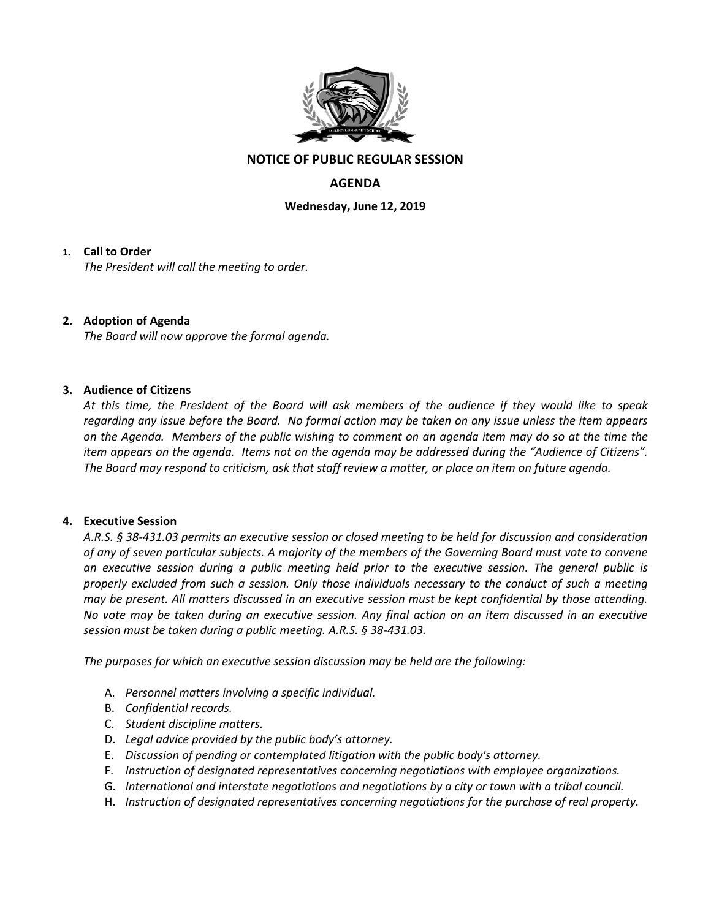

### **NOTICE OF PUBLIC REGULAR SESSION**

## **AGENDA**

**Wednesday, June 12, 2019**

#### **1. Call to Order**

*The President will call the meeting to order.*

#### **2. Adoption of Agenda**

*The Board will now approve the formal agenda.*

#### **3. Audience of Citizens**

*At this time, the President of the Board will ask members of the audience if they would like to speak regarding any issue before the Board. No formal action may be taken on any issue unless the item appears on the Agenda. Members of the public wishing to comment on an agenda item may do so at the time the item appears on the agenda. Items not on the agenda may be addressed during the "Audience of Citizens". The Board may respond to criticism, ask that staff review a matter, or place an item on future agenda.*

#### **4. Executive Session**

*A.R.S. § 38-431.03 permits an executive session or closed meeting to be held for discussion and consideration of any of seven particular subjects. A majority of the members of the Governing Board must vote to convene an executive session during a public meeting held prior to the executive session. The general public is properly excluded from such a session. Only those individuals necessary to the conduct of such a meeting may be present. All matters discussed in an executive session must be kept confidential by those attending. No vote may be taken during an executive session. Any final action on an item discussed in an executive session must be taken during a public meeting. A.R.S. § 38-431.03.* 

*The purposes for which an executive session discussion may be held are the following:* 

- A. *Personnel matters involving a specific individual.*
- B. *Confidential records.*
- C. *Student discipline matters.*
- D. *Legal advice provided by the public body's attorney.*
- E. *Discussion of pending or contemplated litigation with the public body's attorney.*
- F. *Instruction of designated representatives concerning negotiations with employee organizations.*
- G. *International and interstate negotiations and negotiations by a city or town with a tribal council.*
- H. *Instruction of designated representatives concerning negotiations for the purchase of real property.*